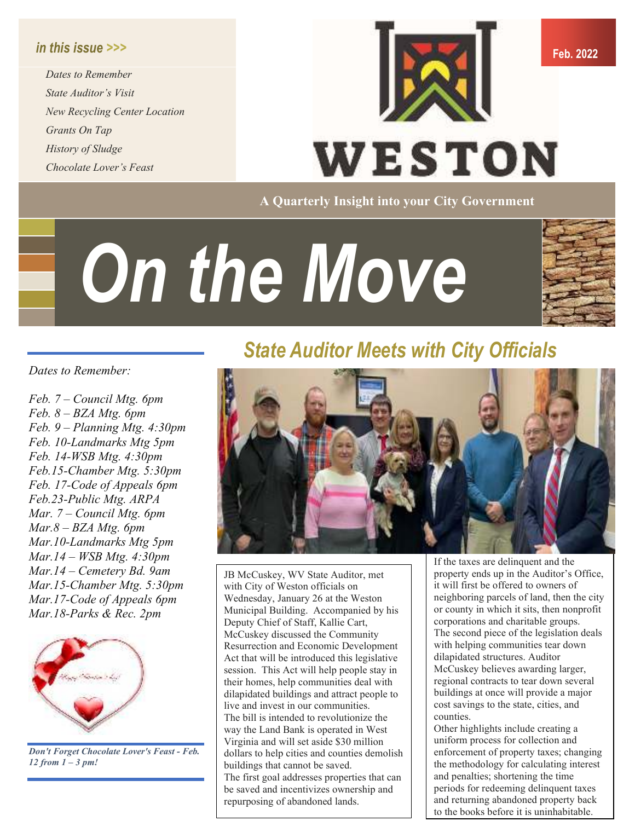#### *in this issue >>>*

*Dates to Remember State Auditor's Visit New Recycling Center Location Grants On Tap History of Sludge Chocolate Lover's Feast* 



**A Quarterly Insight into your City Government** 

# *On the Move*



#### *Dates to Remember:*

*Feb. 7 – Council Mtg. 6pm Feb. 8 – BZA Mtg. 6pm Feb. 9 – Planning Mtg. 4:30pm Feb. 10-Landmarks Mtg 5pm Feb. 14-WSB Mtg. 4:30pm Feb.15-Chamber Mtg. 5:30pm Feb. 17-Code of Appeals 6pm Feb.23-Public Mtg. ARPA Mar. 7 – Council Mtg. 6pm Mar.8 – BZA Mtg. 6pm Mar.10-Landmarks Mtg 5pm Mar.14 – WSB Mtg. 4:30pm Mar.14 – Cemetery Bd. 9am Mar.15-Chamber Mtg. 5:30pm Mar.17-Code of Appeals 6pm Mar.18-Parks & Rec. 2pm* 



*Don't Forget Chocolate Lover's Feast - Feb. 12 from 1 – 3 pm!* 

### *State Auditor Meets with City Officials*



JB McCuskey, WV State Auditor, met with City of Weston officials on Wednesday, January 26 at the Weston Municipal Building. Accompanied by his Deputy Chief of Staff, Kallie Cart, McCuskey discussed the Community Resurrection and Economic Development Act that will be introduced this legislative session. This Act will help people stay in their homes, help communities deal with dilapidated buildings and attract people to live and invest in our communities. The bill is intended to revolutionize the way the Land Bank is operated in West Virginia and will set aside \$30 million dollars to help cities and counties demolish buildings that cannot be saved. The first goal addresses properties that can be saved and incentivizes ownership and repurposing of abandoned lands.

If the taxes are delinquent and the property ends up in the Auditor's Office, it will first be offered to owners of neighboring parcels of land, then the city or county in which it sits, then nonprofit corporations and charitable groups. The second piece of the legislation deals with helping communities tear down dilapidated structures. Auditor McCuskey believes awarding larger, regional contracts to tear down several buildings at once will provide a major cost savings to the state, cities, and counties.

Other highlights include creating a uniform process for collection and enforcement of property taxes; changing the methodology for calculating interest and penalties; shortening the time periods for redeeming delinquent taxes and returning abandoned property back to the books before it is uninhabitable.